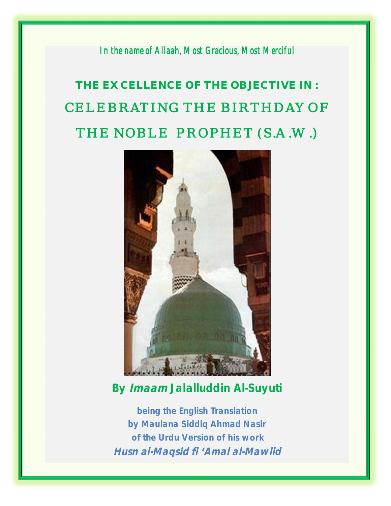*In the name of Allaah, Most Gracious, Most Merciful* 

# **THE EXCELLENCE OF THE OBJECTIVE IN :**  CELEBRATING THE BIRTHDAY OF THE NOBLE PROPHET (*S.A.W*.)



**By Imaam Jalalluddin Al-Suyuti** 

**being the English Translation by Maulana Siddiq Ahmad Nasir of the Urdu Version of his work Husn al-Maqsid fi 'Amal al-Mawlid**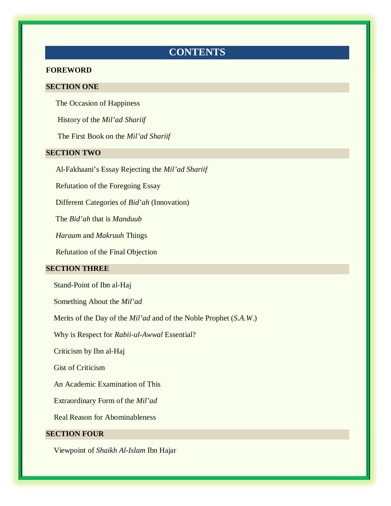# **CONTENTS**

#### **FOREWORD**

#### **SECTION ONE**

The Occasion of Happiness

History of the *Mil'ad Shariif* 

The First Book on the *Mil'ad Shariif* 

#### **SECTION TWO**

Al-Fakhaani's Essay Rejecting the *Mil'ad Shariif*

Refutation of the Foregoing Essay

Different Categories of *Bid'ah* (Innovation)

The *Bid'ah* that is *Manduub* 

 *Haraam* and *Makruuh* Things

Refutation of the Final Objection

#### **SECTION THREE**

Stand-Point of Ibn al-Haj

Something About the *Mil'ad* 

Merits of the Day of the *Mil'ad* and of the Noble Prophet (*S.A.W*.)

Why is Respect for *Rabii-ul-Awwal* Essential?

Criticism by Ibn al-Haj

Gist of Criticism

An Academic Examination of This

Extraordinary Form of the *Mil'ad* 

Real Reason for Abominableness

#### **SECTION FOUR**

Viewpoint of *Shaikh Al-Islam* Ibn Hajar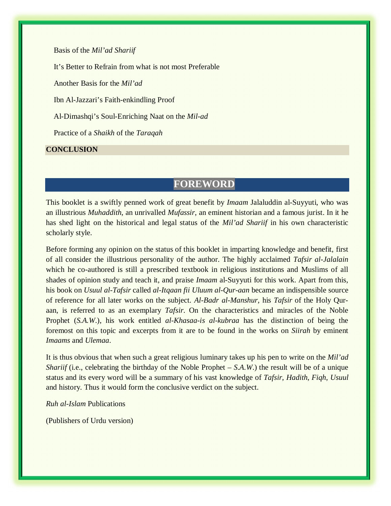Basis of the *Mil'ad Shariif* 

It's Better to Refrain from what is not most Preferable

Another Basis for the *Mil'ad* 

Ibn Al-Jazzari's Faith-enkindling Proof

Al-Dimashqi's Soul-Enriching Naat on the *Mil-ad* 

Practice of a *Shaikh* of the *Taraqah*

**CONCLUSION** 

# **FOREWORD**

This booklet is a swiftly penned work of great benefit by *Imaam* Jalaluddin al-Suyyuti, who was an illustrious *Muhaddith*, an unrivalled *Mufassir*, an eminent historian and a famous jurist. In it he has shed light on the historical and legal status of the *Mil'ad Shariif* in his own characteristic scholarly style.

Before forming any opinion on the status of this booklet in imparting knowledge and benefit, first of all consider the illustrious personality of the author. The highly acclaimed *Tafsir al-Jalalain* which he co-authored is still a prescribed textbook in religious institutions and Muslims of all shades of opinion study and teach it, and praise *Imaam* al-Suyyuti for this work. Apart from this, his book on *Usuul al-Tafsir* called *al-Itqaan fii Uluum al-Qur-aan* became an indispensible source of reference for all later works on the subject. *Al-Badr al-Manshur*, his *Tafsir* of the Holy Quraan, is referred to as an exemplary *Tafsir*. On the characteristics and miracles of the Noble Prophet (*S.A.W*.), his work entitled *al-Khasaa-is al-kubraa* has the distinction of being the foremost on this topic and excerpts from it are to be found in the works on *Siirah* by eminent *Imaams* and *Ulemaa*.

It is thus obvious that when such a great religious luminary takes up his pen to write on the *Mil'ad Shariif* (i.e., celebrating the birthday of the Noble Prophet – *S.A.W.*) the result will be of a unique status and its every word will be a summary of his vast knowledge of *Tafsir*, *Hadith*, *Fiqh*, *Usuul* and history. Thus it would form the conclusive verdict on the subject.

*Ruh al-Islam* Publications

(Publishers of Urdu version)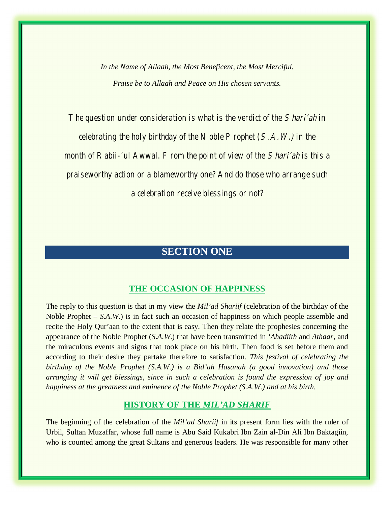*In the Name of Allaah, the Most Beneficent, the Most Merciful. Praise be to Allaah and Peace on His chosen servants.* 

The question under consideration is what is the verdict of the *Shari'ah* in celebrating the holy birthday of the Noble Prophet  $(S.A.W.)$  in the month of Rabii-'ul Awwal. From the point of view of the *Shari'ah* is this a praiseworthy action or a blameworthy one? And do those who arrange such a celebration receive blessings or not?

# **SECTION ONE**

# **THE OCCASION OF HAPPINESS**

The reply to this question is that in my view the *Mil'ad Shariif* (celebration of the birthday of the Noble Prophet – *S.A.W*.) is in fact such an occasion of happiness on which people assemble and recite the Holy Qur'aan to the extent that is easy. Then they relate the prophesies concerning the appearance of the Noble Prophet (*S.A.W*.) that have been transmitted in *'Ahadiith* and *Athaar,* and the miraculous events and signs that took place on his birth. Then food is set before them and according to their desire they partake therefore to satisfaction. *This festival of celebrating the birthday of the Noble Prophet (S.A.W.) is a Bid'ah Hasanah (a good innovation) and those arranging it will get blessings, since in such a celebration is found the expression of joy and happiness at the greatness and eminence of the Noble Prophet (S.A.W.) and at his birth.*

## **HISTORY OF THE** *MIL'AD SHARIF*

The beginning of the celebration of the *Mil'ad Shariif* in its present form lies with the ruler of Urbil, Sultan Muzaffar, whose full name is Abu Said Kukabri Ibn Zain al-Din Ali Ibn Baktagiin, who is counted among the great Sultans and generous leaders. He was responsible for many other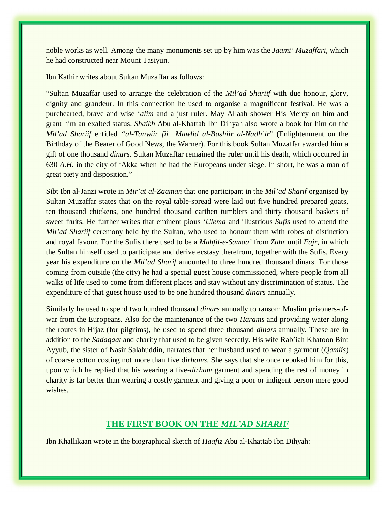noble works as well. Among the many monuments set up by him was the *Jaami' Muzaffari*, which he had constructed near Mount Tasiyun.

Ibn Kathir writes about Sultan Muzaffar as follows:

"Sultan Muzaffar used to arrange the celebration of the *Mil'ad Shariif* with due honour, glory, dignity and grandeur. In this connection he used to organise a magnificent festival. He was a purehearted, brave and wise '*alim* and a just ruler. May Allaah shower His Mercy on him and grant him an exalted status. *Shaikh* Abu al-Khattab Ibn Dihyah also wrote a book for him on the *Mil'ad Shariif* entitled *"al-Tanwiir fii Mawlid al-Bashiir al-Nadh'ir*" (Enlightenment on the Birthday of the Bearer of Good News, the Warner). For this book Sultan Muzaffar awarded him a gift of one thousand *dinars*. Sultan Muzaffar remained the ruler until his death, which occurred in 630 *A.H.* in the city of 'Akka when he had the Europeans under siege. In short, he was a man of great piety and disposition."

Sibt Ibn al-Janzi wrote in *Mir'at al-Zaaman* that one participant in the *Mil'ad Sharif* organised by Sultan Muzaffar states that on the royal table-spread were laid out five hundred prepared goats, ten thousand chickens, one hundred thousand earthen tumblers and thirty thousand baskets of sweet fruits. He further writes that eminent pious '*Ulema* and illustrious *Sufis* used to attend the *Mil'ad Shariif* ceremony held by the Sultan, who used to honour them with robes of distinction and royal favour. For the Sufis there used to be a *Mahfil-e-Samaa'* from *Zuhr* until *Fajr*, in which the Sultan himself used to participate and derive ecstasy therefrom, together with the Sufis. Every year his expenditure on the *Mil'ad Sharif* amounted to three hundred thousand dinars. For those coming from outside (the city) he had a special guest house commissioned, where people from all walks of life used to come from different places and stay without any discrimination of status. The expenditure of that guest house used to be one hundred thousand *dinars* annually.

Similarly he used to spend two hundred thousand *dinars* annually to ransom Muslim prisoners-ofwar from the Europeans. Also for the maintenance of the two *Harams* and providing water along the routes in Hijaz (for pilgrims), he used to spend three thousand *dinars* annually. These are in addition to the *Sadaqaat* and charity that used to be given secretly. His wife Rab'iah Khatoon Bint Ayyub, the sister of Nasir Salahuddin, narrates that her husband used to wear a garment (*Qamiis*) of coarse cotton costing not more than five d*irhams*. She says that she once rebuked him for this, upon which he replied that his wearing a five-*dirham* garment and spending the rest of money in charity is far better than wearing a costly garment and giving a poor or indigent person mere good wishes.

## **THE FIRST BOOK ON THE** *MIL'AD SHARIF*

Ibn Khallikaan wrote in the biographical sketch of *Haafiz* Abu al-Khattab Ibn Dihyah: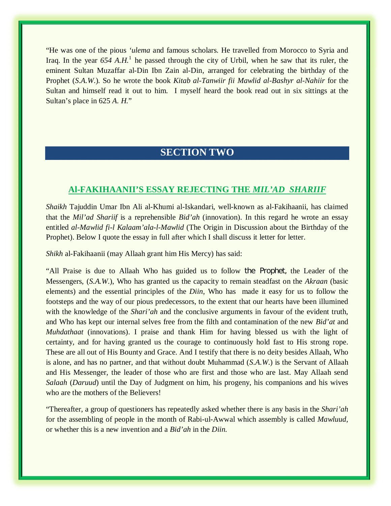"He was one of the pious *'ulema* and famous scholars. He travelled from Morocco to Syria and Iraq. In the year  $654$  A.H.<sup>1</sup> he passed through the city of Urbil, when he saw that its ruler, the eminent Sultan Muzaffar al-Din Ibn Zain al-Din, arranged for celebrating the birthday of the Prophet (*S.A.W*.). So he wrote the book *Kitab al-Tanwiir fii Mawlid al-Bashyr al-Nahiir* for the Sultan and himself read it out to him. I myself heard the book read out in six sittings at the Sultan's place in 625 *A. H.*"

# **SECTION TWO**

# **Al-FAKIHAANII'S ESSAY REJECTING THE** *MIL'AD SHARIIF*

*Shaikh* Tajuddin Umar Ibn Ali al-Khumi al-Iskandari, well-known as al-Fakihaanii, has claimed that the *Mil'ad Shariif* is a reprehensible *Bid'ah* (innovation). In this regard he wrote an essay entitled *al-Mawlid fi-l Kalaam'ala-l-Mawlid* (The Origin in Discussion about the Birthday of the Prophet). Below I quote the essay in full after which I shall discuss it letter for letter.

*Shikh* al-Fakihaanii (may Allaah grant him His Mercy) has said:

"All Praise is due to Allaah Who has guided us to follow the Prophet, the Leader of the Messengers, (*S.A.W*.), Who has granted us the capacity to remain steadfast on the *Akraan* (basic elements) and the essential principles of the *Diin*, Who has made it easy for us to follow the footsteps and the way of our pious predecessors, to the extent that our hearts have been illumined with the knowledge of the *Shari'ah* and the conclusive arguments in favour of the evident truth, and Who has kept our internal selves free from the filth and contamination of the new *Bid'at* and *Muhdathaat* (innovations). I praise and thank Him for having blessed us with the light of certainty, and for having granted us the courage to continuously hold fast to His strong rope. These are all out of His Bounty and Grace. And I testify that there is no deity besides Allaah, Who is alone, and has no partner, and that without doubt Muhammad (*S.A.W*.) is the Servant of Allaah and His Messenger, the leader of those who are first and those who are last. May Allaah send *Salaah* (*Daruud*) until the Day of Judgment on him, his progeny, his companions and his wives who are the mothers of the Believers!

"Thereafter, a group of questioners has repeatedly asked whether there is any basis in the *Shari'ah* for the assembling of people in the month of Rabi-ul-Awwal which assembly is called *Mawluud*, or whether this is a new invention and a *Bid'ah* in the *Diin.*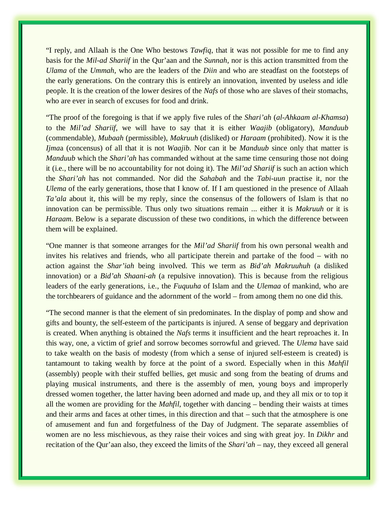"I reply, and Allaah is the One Who bestows *Tawfiq*, that it was not possible for me to find any basis for the *Mil-ad Shariif* in the Qur'aan and the *Sunnah*, nor is this action transmitted from the *Ulama* of the *Ummah*, who are the leaders of the *Diin* and who are steadfast on the footsteps of the early generations. On the contrary this is entirely an innovation, invented by useless and idle people. It is the creation of the lower desires of the *Nafs* of those who are slaves of their stomachs, who are ever in search of excuses for food and drink.

"The proof of the foregoing is that if we apply five rules of the *Shari'ah* (*al-Ahkaam al-Khamsa*) to the *Mil'ad Shariif*, we will have to say that it is either *Waajib* (obligatory), *Manduub* (commendable), *Mubaah* (permissible), *Makruuh* (disliked) or *Haraam* (prohibited). Now it is the *Ijma*a (concensus) of all that it is not *Waajib*. Nor can it be *Manduub* since only that matter is *Manduub* which the *Shari'ah* has commanded without at the same time censuring those not doing it (i.e., there will be no accountability for not doing it). The *Mil'ad Shariif* is such an action which the *Shari'ah* has not commanded. Nor did the *Sahabah* and the *Tabi-uun* practise it, nor the *Ulema* of the early generations, those that I know of. If I am questioned in the presence of Allaah *Ta'ala* about it, this will be my reply, since the consensus of the followers of Islam is that no innovation can be permissible. Thus only two situations remain ... either it is *Makruuh* or it is *Haraam*. Below is a separate discussion of these two conditions, in which the difference between them will be explained.

"One manner is that someone arranges for the *Mil'ad Shariif* from his own personal wealth and invites his relatives and friends, who all participate therein and partake of the food – with no action against the *Shar'iah* being involved. This we term as *Bid'ah Makruuhuh* (a disliked innovation) or a *Bid'ah Shaani-ah* (a repulsive innovation). This is because from the religious leaders of the early generations, i.e., the *Fuquuha* of Islam and the *Ulemaa* of mankind, who are the torchbearers of guidance and the adornment of the world – from among them no one did this.

"The second manner is that the element of sin predominates. In the display of pomp and show and gifts and bounty, the self-esteem of the participants is injured. A sense of beggary and deprivation is created. When anything is obtained the *Nafs* terms it insufficient and the heart reproaches it. In this way, one, a victim of grief and sorrow becomes sorrowful and grieved. The *Ulema* have said to take wealth on the basis of modesty (from which a sense of injured self-esteem is created) is tantamount to taking wealth by force at the point of a sword. Especially when in this *Mahfil*  (assembly) people with their stuffed bellies, get music and song from the beating of drums and playing musical instruments, and there is the assembly of men, young boys and improperly dressed women together, the latter having been adorned and made up, and they all mix or to top it all the women are providing for the *Mahfil*, together with dancing – bending their waists at times and their arms and faces at other times, in this direction and that – such that the atmosphere is one of amusement and fun and forgetfulness of the Day of Judgment. The separate assemblies of women are no less mischievous, as they raise their voices and sing with great joy. In *Dikhr* and recitation of the Qur'aan also, they exceed the limits of the *Shari'ah* – nay, they exceed all general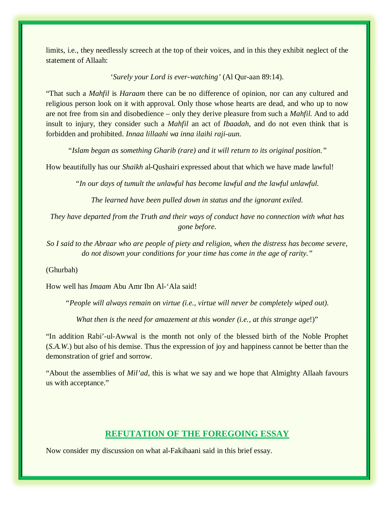limits, i.e., they needlessly screech at the top of their voices, and in this they exhibit neglect of the statement of Allaah:

'*Surely your Lord is ever-watching'* (Al Qur-aan 89:14).

"That such a *Mahfil* is *Haraam* there can be no difference of opinion, nor can any cultured and religious person look on it with approval. Only those whose hearts are dead, and who up to now are not free from sin and disobedience – only they derive pleasure from such a *Mahfil*. And to add insult to injury, they consider such a *Mahfil* an act of *Ibaadah*, and do not even think that is forbidden and prohibited. *Innaa lillaahi wa inna ilaihi raji-uun.*

*"Islam began as something Gharib (rare) and it will return to its original position."* 

How beautifully has our *Shaikh* al-Qushairi expressed about that which we have made lawful!

*"In our days of tumult the unlawful has become lawful and the lawful unlawful.* 

*The learned have been pulled down in status and the ignorant exiled.* 

*They have departed from the Truth and their ways of conduct have no connection with what has gone before.* 

*So I said to the Abraar who are people of piety and religion, when the distress has become severe, do not disown your conditions for your time has come in the age of rarity."* 

(Ghurbah)

How well has *Imaam* Abu Amr Ibn Al-'Ala said!

*"People will always remain on virtue (i.e., virtue will never be completely wiped out).* 

*What then is the need for amazement at this wonder (i.e., at this strange age*!)"

"In addition Rabi'-ul-Awwal is the month not only of the blessed birth of the Noble Prophet (*S.A.W*.) but also of his demise. Thus the expression of joy and happiness cannot be better than the demonstration of grief and sorrow.

"About the assemblies of *Mil'ad*, this is what we say and we hope that Almighty Allaah favours us with acceptance."

## **REFUTATION OF THE FOREGOING ESSAY**

Now consider my discussion on what al-Fakihaani said in this brief essay.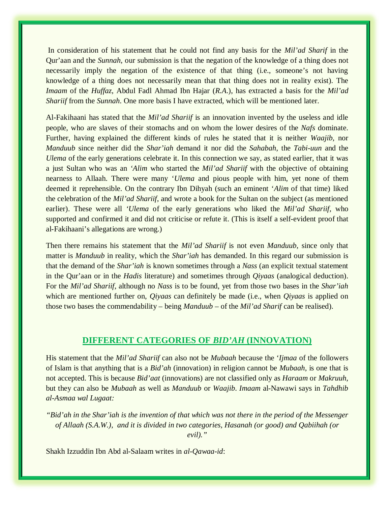In consideration of his statement that he could not find any basis for the *Mil'ad Sharif* in the Qur'aan and the *Sunnah*, our submission is that the negation of the knowledge of a thing does not necessarily imply the negation of the existence of that thing (i.e., someone's not having knowledge of a thing does not necessarily mean that that thing does not in reality exist). The *Imaam* of the *Huffaz*, Abdul Fadl Ahmad Ibn Hajar (*R.A*.), has extracted a basis for the *Mil'ad Shariif* from the *Sunnah*. One more basis I have extracted, which will be mentioned later.

Al-Fakihaani has stated that the *Mil'ad Shariif* is an innovation invented by the useless and idle people, who are slaves of their stomachs and on whom the lower desires of the *Nafs* dominate. Further, having explained the different kinds of rules he stated that it is neither *Waajib*, nor *Manduub* since neither did the *Shar'iah* demand it nor did the *Sahabah*, the *Tabi-uun* and the *Ulema* of the early generations celebrate it. In this connection we say, as stated earlier, that it was a just Sultan who was an *'Alim* who started the *Mil'ad Shariif* with the objective of obtaining nearness to Allaah. There were many '*Ulema* and pious people with him, yet none of them deemed it reprehensible. On the contrary Ibn Dihyah (such an eminent '*Alim* of that time) liked the celebration of the *Mil'ad Shariif*, and wrote a book for the Sultan on the subject (as mentioned earlier). These were all *'Ulema* of the early generations who liked the *Mil'ad Shariif*, who supported and confirmed it and did not criticise or refute it. (This is itself a self-evident proof that al-Fakihaani's allegations are wrong.)

Then there remains his statement that the *Mil'ad Shariif* is not even *Manduub*, since only that matter is *Manduub* in reality, which the *Shar'iah* has demanded. In this regard our submission is that the demand of the *Shar'iah* is known sometimes through a *Nass* (an explicit textual statement in the Qur'aan or in the *Hadis* literature) and sometimes through *Qiyaas* (analogical deduction). For the *Mil'ad Shariif*, although no *Nass* is to be found, yet from those two bases in the *Shar'iah* which are mentioned further on, *Qiyaas* can definitely be made (i.e., when *Qiyaas* is applied on those two bases the commendability – being *Manduub* – of the *Mil'ad Sharif* can be realised).

#### **DIFFERENT CATEGORIES OF** *BID'AH* **(INNOVATION)**

His statement that the *Mil'ad Shariif* can also not be *Mubaah* because the '*Ijmaa* of the followers of Islam is that anything that is a *Bid'ah* (innovation) in religion cannot be *Mubaah*, is one that is not accepted. This is because *Bid'aat* (innovations) are not classified only as *Haraam* or *Makruuh*, but they can also be *Mubaah* as well as *Manduub* or *Waajib*. *Imaam* al-Nawawi says in *Tahdhib al-Asmaa wal Lugaat:* 

*"Bid'ah in the Shar'iah is the invention of that which was not there in the period of the Messenger of Allaah (S.A.W.), and it is divided in two categories, Hasanah (or good) and Qabiihah (or evil)."* 

Shakh Izzuddin Ibn Abd al-Salaam writes in *al-Qawaa-id*: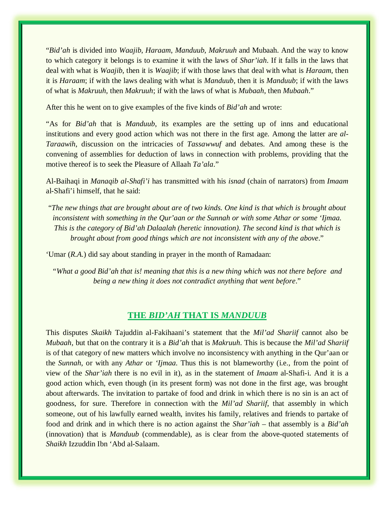"*Bid'ah* is divided into *Waajib*, *Haraam*, *Manduub*, *Makruuh* and Mubaah. And the way to know to which category it belongs is to examine it with the laws of *Shar'iah*. If it falls in the laws that deal with what is *Waajib*, then it is *Waajib*; if with those laws that deal with what is *Haraam*, then it is *Haraam*; if with the laws dealing with what is *Manduub*, then it is *Manduub*; if with the laws of what is *Makruuh*, then *Makruuh*; if with the laws of what is *Mubaah*, then *Mubaah*."

After this he went on to give examples of the five kinds of *Bid'ah* and wrote:

"As for *Bid'ah* that is *Manduub*, its examples are the setting up of inns and educational institutions and every good action which was not there in the first age. Among the latter are *al-Taraawih*, discussion on the intricacies of *Tassawwuf* and debates. And among these is the convening of assemblies for deduction of laws in connection with problems, providing that the motive thereof is to seek the Pleasure of Allaah *Ta'ala*."

Al-Baihaqi in *Manaqib al-Shafi'i* has transmitted with his *isnad* (chain of narrators) from *Imaam*  al-Shafi'i himself, that he said:

"*The new things that are brought about are of two kinds. One kind is that which is brought about inconsistent with something in the Qur'aan or the Sunnah or with some Athar or some 'Ijmaa. This is the category of Bid'ah Dalaalah (heretic innovation). The second kind is that which is brought about from good things which are not inconsistent with any of the above*."

'Umar (*R.A.*) did say about standing in prayer in the month of Ramadaan:

*"What a good Bid'ah that is! meaning that this is a new thing which was not there before and being a new thing it does not contradict anything that went before*."

## **THE** *BID'AH* **THAT IS** *MANDUUB*

This disputes *Skaikh* Tajuddin al-Fakihaani's statement that the *Mil'ad Shariif* cannot also be *Mubaah*, but that on the contrary it is a *Bid'ah* that is *Makruuh*. This is because the *Mil'ad Shariif* is of that category of new matters which involve no inconsistency with anything in the Qur'aan or the *Sunnah*, or with any *Athar* or *'Ijmaa*. Thus this is not blameworthy (i.e., from the point of view of the *Shar'iah* there is no evil in it), as in the statement of *Imaam* al-Shafi-i. And it is a good action which, even though (in its present form) was not done in the first age, was brought about afterwards. The invitation to partake of food and drink in which there is no sin is an act of goodness, for sure. Therefore in connection with the *Mil'ad Shariif*, that assembly in which someone, out of his lawfully earned wealth, invites his family, relatives and friends to partake of food and drink and in which there is no action against the *Shar'iah* – that assembly is a *Bid'ah* (innovation) that is *Manduub* (commendable), as is clear from the above-quoted statements of *Shaikh* Izzuddin Ibn 'Abd al-Salaam.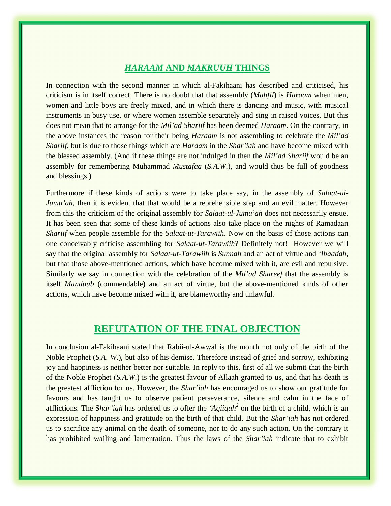## *HARAAM* **AND** *MAKRUUH* **THINGS**

In connection with the second manner in which al-Fakihaani has described and criticised, his criticism is in itself correct. There is no doubt that that assembly (*Mahfil*) is *Haraam* when men, women and little boys are freely mixed, and in which there is dancing and music, with musical instruments in busy use, or where women assemble separately and sing in raised voices. But this does not mean that to arrange for the *Mil'ad Shariif* has been deemed *Haraam*. On the contrary, in the above instances the reason for their being *Haraam* is not assembling to celebrate the *Mil'ad Shariif*, but is due to those things which are *Haraam* in the *Shar'iah* and have become mixed with the blessed assembly. (And if these things are not indulged in then the *Mil'ad Shariif* would be an assembly for remembering Muhammad *Mustafaa* (*S.A.W*.), and would thus be full of goodness and blessings.)

Furthermore if these kinds of actions were to take place say, in the assembly of *Salaat-ul-Jumu'ah*, then it is evident that that would be a reprehensible step and an evil matter. However from this the criticism of the original assembly for *Salaat-ul-Jumu'ah* does not necessarily ensue. It has been seen that some of these kinds of actions also take place on the nights of Ramadaan *Shariif* when people assemble for the *Salaat-ut-Tarawiih*. Now on the basis of those actions can one conceivably criticise assembling for *Salaat-ut-Tarawiih*? Definitely not! However we will say that the original assembly for *Salaat-ut-Tarawiih* is *Sunnah* and an act of virtue and *'Ibaadah*, but that those above-mentioned actions, which have become mixed with it, are evil and repulsive. Similarly we say in connection with the celebration of the *Mil'ad Shareef* that the assembly is itself *Manduub* (commendable) and an act of virtue, but the above-mentioned kinds of other actions, which have become mixed with it, are blameworthy and unlawful.

# **REFUTATION OF THE FINAL OBJECTION**

In conclusion al-Fakihaani stated that Rabii-ul-Awwal is the month not only of the birth of the Noble Prophet (*S.A. W*.), but also of his demise. Therefore instead of grief and sorrow, exhibiting joy and happiness is neither better nor suitable. In reply to this, first of all we submit that the birth of the Noble Prophet (*S.A.W*.) is the greatest favour of Allaah granted to us, and that his death is the greatest affliction for us. However, the *Shar'iah* has encouraged us to show our gratitude for favours and has taught us to observe patient perseverance, silence and calm in the face of afflictions. The S*har'iah* has ordered us to offer the *'Aqiiqah<sup>2</sup>* on the birth of a child, which is an expression of happiness and gratitude on the birth of that child. But the *Shar'iah* has not ordered us to sacrifice any animal on the death of someone, nor to do any such action. On the contrary it has prohibited wailing and lamentation. Thus the laws of the *Shar'iah* indicate that to exhibit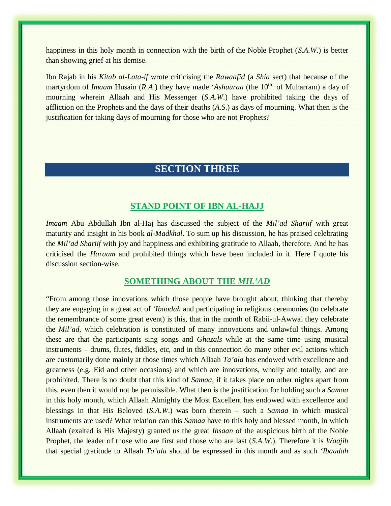happiness in this holy month in connection with the birth of the Noble Prophet (*S.A.W*.) is better than showing grief at his demise.

Ibn Rajab in his *Kitab al-Lata-if* wrote criticising the *Rawaafid* (a *Shia* sect) that because of the martyrdom of *Imaam* Husain (*R.A.*) they have made '*Ashuuraa* (the 10<sup>th</sup>. of Muharram) a day of mourning wherein Allaah and His Messenger (*S.A.W*.) have prohibited taking the days of affliction on the Prophets and the days of their deaths (*A.S*.) as days of mourning. What then is the justification for taking days of mourning for those who are not Prophets?

# **SECTION THREE**

#### **STAND POINT OF IBN AL-HAJJ**

*Imaam* Abu Abdullah Ibn al-Haj has discussed the subject of the *Mil'ad Shariif* with great maturity and insight in his book *al-Madkhal*. To sum up his discussion, he has praised celebrating the *Mil'ad Shariif* with joy and happiness and exhibiting gratitude to Allaah, therefore. And he has criticised the *Haraam* and prohibited things which have been included in it. Here I quote his discussion section-wise.

## **SOMETHING ABOUT THE** *MIL'AD*

"From among those innovations which those people have brought about, thinking that thereby they are engaging in a great act of *'Ibaadah* and participating in religious ceremonies (to celebrate the remembrance of some great event) is this, that in the month of Rabii-ul-Awwal they celebrate the *Mil'ad*, which celebration is constituted of many innovations and unlawful things. Among these are that the participants sing songs and *Ghazals* while at the same time using musical instruments – drums, flutes, fiddles, etc, and in this connection do many other evil actions which are customarily done mainly at those times which Allaah *Ta'ala* has endowed with excellence and greatness (e.g. Eid and other occasions) and which are innovations, wholly and totally, and are prohibited. There is no doubt that this kind of *Samaa*, if it takes place on other nights apart from this, even then it would not be permissible. What then is the justification for holding such a *Samaa*  in this holy month, which Allaah Almighty the Most Excellent has endowed with excellence and blessings in that His Beloved (*S.A.W*.) was born therein – such a *Samaa* in which musical instruments are used? What relation can this *Samaa* have to this holy and blessed month, in which Allaah (exalted is His Majesty) granted us the great *Ihsaan* of the auspicious birth of the Noble Prophet, the leader of those who are first and those who are last (*S.A.W*.). Therefore it is *Waajib* that special gratitude to Allaah *Ta'ala* should be expressed in this month and as such *'Ibaadah*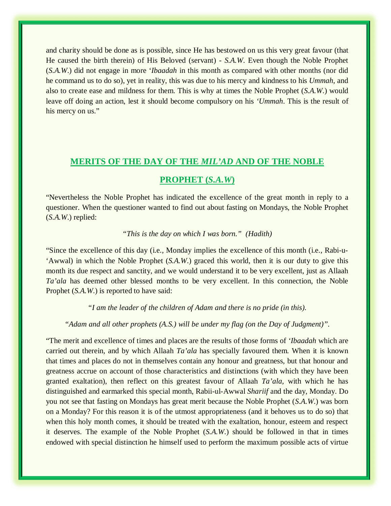and charity should be done as is possible, since He has bestowed on us this very great favour (that He caused the birth therein) of His Beloved (servant) - *S.A.W*. Even though the Noble Prophet (*S.A.W*.) did not engage in more '*Ibaadah* in this month as compared with other months (nor did he command us to do so), yet in reality, this was due to his mercy and kindness to his *Ummah*, and also to create ease and mildness for them. This is why at times the Noble Prophet (*S.A.W*.) would leave off doing an action, lest it should become compulsory on his *'Ummah*. This is the result of his mercy on us."

#### **MERITS OF THE DAY OF THE** *MIL'AD* **AND OF THE NOBLE**

#### **PROPHET (***S.A.W***)**

"Nevertheless the Noble Prophet has indicated the excellence of the great month in reply to a questioner. When the questioner wanted to find out about fasting on Mondays, the Noble Prophet (*S.A.W*.) replied:

#### *"This is the day on which I was born." (Hadith)*

"Since the excellence of this day (i.e., Monday implies the excellence of this month (i.e., Rabi-u- 'Awwal) in which the Noble Prophet (*S.A.W*.) graced this world, then it is our duty to give this month its due respect and sanctity, and we would understand it to be very excellent, just as Allaah *Ta'ala* has deemed other blessed months to be very excellent. In this connection, the Noble Prophet (*S.A.W*.) is reported to have said:

*"I am the leader of the children of Adam and there is no pride (in this).* 

*"Adam and all other prophets (A.S.) will be under my flag (on the Day of Judgment)".* 

"The merit and excellence of times and places are the results of those forms of *'Ibaadah* which are carried out therein, and by which Allaah *Ta'ala* has specially favoured them. When it is known that times and places do not in themselves contain any honour and greatness, but that honour and greatness accrue on account of those characteristics and distinctions (with which they have been granted exaltation), then reflect on this greatest favour of Allaah *Ta'ala,* with which he has distinguished and earmarked this special month, Rabii-ul-Awwal *Shariif* and the day, Monday. Do you not see that fasting on Mondays has great merit because the Noble Prophet (*S.A.W*.) was born on a Monday? For this reason it is of the utmost appropriateness (and it behoves us to do so) that when this holy month comes, it should be treated with the exaltation, honour, esteem and respect it deserves. The example of the Noble Prophet (*S.A.W*.) should be followed in that in times endowed with special distinction he himself used to perform the maximum possible acts of virtue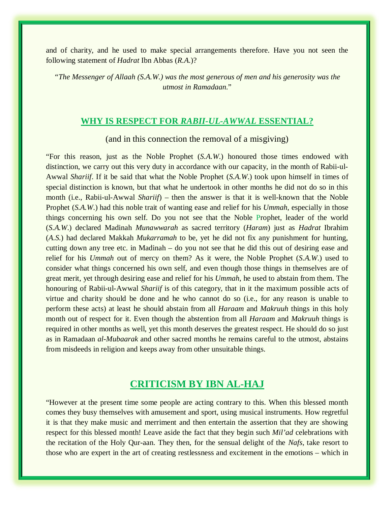and of charity, and he used to make special arrangements therefore. Have you not seen the following statement of *Hadrat* Ibn Abbas (*R.A*.)?

*"The Messenger of Allaah (S.A.W.) was the most generous of men and his generosity was the utmost in Ramadaan*."

#### **WHY IS RESPECT FOR** *RABII-UL-AWWAL* **ESSENTIAL?**

(and in this connection the removal of a misgiving)

"For this reason, just as the Noble Prophet (*S.A.W*.) honoured those times endowed with distinction, we carry out this very duty in accordance with our capacity, in the month of Rabii-ul-Awwal *Shariif*. If it be said that what the Noble Prophet (*S.A.W*.) took upon himself in times of special distinction is known, but that what he undertook in other months he did not do so in this month (i.e., Rabii-ul-Awwal *Shariif*) – then the answer is that it is well-known that the Noble Prophet (*S.A.W*.) had this noble trait of wanting ease and relief for his *Ummah*, especially in those things concerning his own self. Do you not see that the Noble Prophet, leader of the world (*S.A.W*.) declared Madinah *Munawwarah* as sacred territory (*Haram*) just as *Hadrat* Ibrahim (*A.S*.) had declared Makkah *Mukarramah* to be, yet he did not fix any punishment for hunting, cutting down any tree etc. in Madinah – do you not see that he did this out of desiring ease and relief for his *Ummah* out of mercy on them? As it were, the Noble Prophet (*S.A.W*.) used to consider what things concerned his own self, and even though those things in themselves are of great merit, yet through desiring ease and relief for his *Ummah*, he used to abstain from them. The honouring of Rabii-ul-Awwal *Shariif* is of this category, that in it the maximum possible acts of virtue and charity should be done and he who cannot do so (i.e., for any reason is unable to perform these acts) at least he should abstain from all *Haraam* and *Makruuh* things in this holy month out of respect for it. Even though the abstention from all *Haraam* and *Makruuh* things is required in other months as well, yet this month deserves the greatest respect. He should do so just as in Ramadaan *al-Mubaarak* and other sacred months he remains careful to the utmost, abstains from misdeeds in religion and keeps away from other unsuitable things.

# **CRITICISM BY IBN AL-HAJ**

"However at the present time some people are acting contrary to this. When this blessed month comes they busy themselves with amusement and sport, using musical instruments. How regretful it is that they make music and merriment and then entertain the assertion that they are showing respect for this blessed month! Leave aside the fact that they begin such *Mil'ad* celebrations with the recitation of the Holy Qur-aan. They then, for the sensual delight of the *Nafs*, take resort to those who are expert in the art of creating restlessness and excitement in the emotions – which in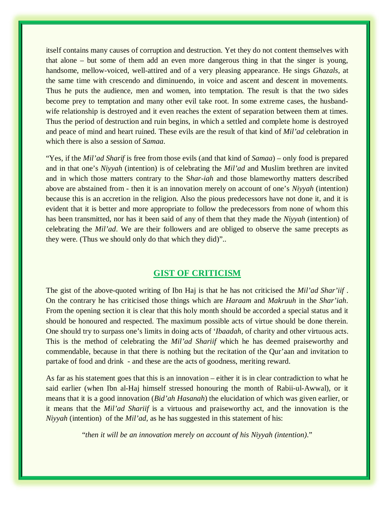itself contains many causes of corruption and destruction. Yet they do not content themselves with that alone – but some of them add an even more dangerous thing in that the singer is young, handsome, mellow-voiced, well-attired and of a very pleasing appearance. He sings *Ghazals*, at the same time with crescendo and diminuendo, in voice and ascent and descent in movements. Thus he puts the audience, men and women, into temptation. The result is that the two sides become prey to temptation and many other evil take root. In some extreme cases, the husbandwife relationship is destroyed and it even reaches the extent of separation between them at times. Thus the period of destruction and ruin begins, in which a settled and complete home is destroyed and peace of mind and heart ruined. These evils are the result of that kind of *Mil'ad* celebration in which there is also a session of *Samaa*.

"Yes, if the *Mil'ad Sharif* is free from those evils (and that kind of *Samaa*) – only food is prepared and in that one's *Niyyah* (intention) is of celebrating the *Mil'ad* and Muslim brethren are invited and in which those matters contrary to the S*har-iah* and those blameworthy matters described above are abstained from - then it is an innovation merely on account of one's *Niyyah* (intention) because this is an accretion in the religion. Also the pious predecessors have not done it, and it is evident that it is better and more appropriate to follow the predecessors from none of whom this has been transmitted, nor has it been said of any of them that they made the *Niyyah* (intention) of celebrating the *Mil'ad*. We are their followers and are obliged to observe the same precepts as they were. (Thus we should only do that which they did)"..

#### **GIST OF CRITICISM**

The gist of the above-quoted writing of Ibn Haj is that he has not criticised the *Mil'ad Shar'iif* . On the contrary he has criticised those things which are *Haraam* and *Makruuh* in the *Shar'iah*. From the opening section it is clear that this holy month should be accorded a special status and it should be honoured and respected. The maximum possible acts of virtue should be done therein. One should try to surpass one's limits in doing acts of '*Ibaadah*, of charity and other virtuous acts. This is the method of celebrating the *Mil'ad Shariif* which he has deemed praiseworthy and commendable, because in that there is nothing but the recitation of the Qur'aan and invitation to partake of food and drink - and these are the acts of goodness, meriting reward.

As far as his statement goes that this is an innovation – either it is in clear contradiction to what he said earlier (when Ibn al-Haj himself stressed honouring the month of Rabii-ul-Awwal), or it means that it is a good innovation (*Bid'ah Hasanah*) the elucidation of which was given earlier, or it means that the *Mil'ad Shariif* is a virtuous and praiseworthy act, and the innovation is the *Niyyah* (intention) of the *Mil'ad,* as he has suggested in this statement of his:

"*then it will be an innovation merely on account of his Niyyah (intention)*."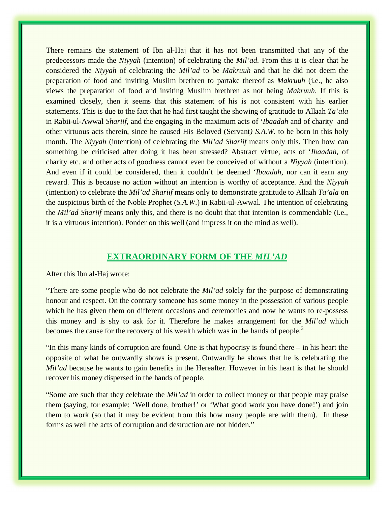There remains the statement of Ibn al-Haj that it has not been transmitted that any of the predecessors made the *Niyyah* (intention) of celebrating the *Mil'ad*. From this it is clear that he considered the *Niyyah* of celebrating the *Mil'ad* to be *Makruuh* and that he did not deem the preparation of food and inviting Muslim brethren to partake thereof as *Makruuh* (i.e., he also views the preparation of food and inviting Muslim brethren as not being *Makruuh*. If this is examined closely, then it seems that this statement of his is not consistent with his earlier statements. This is due to the fact that he had first taught the showing of gratitude to Allaah *Ta'ala* in Rabii-ul-Awwal *Shariif*, and the engaging in the maximum acts of '*Ibaadah* and of charity and other virtuous acts therein, since he caused His Beloved (Servant*) S.A.W.* to be born in this holy month. The *Niyyah* (intention) of celebrating the *Mil'ad Shariif* means only this. Then how can something be criticised after doing it has been stressed? Abstract virtue, acts of '*Ibaadah*, of charity etc. and other acts of goodness cannot even be conceived of without a *Niyyah* (intention). And even if it could be considered, then it couldn't be deemed '*Ibaadah*, nor can it earn any reward. This is because no action without an intention is worthy of acceptance. And the *Niyyah* (intention) to celebrate the *Mil'ad Shariif* means only to demonstrate gratitude to Allaah *Ta'ala* on the auspicious birth of the Noble Prophet (*S.A.W*.) in Rabii-ul-Awwal. The intention of celebrating the *Mil'ad Shariif* means only this, and there is no doubt that that intention is commendable (i.e., it is a virtuous intention). Ponder on this well (and impress it on the mind as well).

#### **EXTRAORDINARY FORM OF THE** *MIL'AD*

#### After this Ibn al-Haj wrote:

"There are some people who do not celebrate the *Mil'ad* solely for the purpose of demonstrating honour and respect. On the contrary someone has some money in the possession of various people which he has given them on different occasions and ceremonies and now he wants to re-possess this money and is shy to ask for it. Therefore he makes arrangement for the *Mil'ad* which becomes the cause for the recovery of his wealth which was in the hands of people.<sup>3</sup>

"In this many kinds of corruption are found. One is that hypocrisy is found there – in his heart the opposite of what he outwardly shows is present. Outwardly he shows that he is celebrating the *Mil'ad* because he wants to gain benefits in the Hereafter. However in his heart is that he should recover his money dispersed in the hands of people.

"Some are such that they celebrate the *Mil'ad* in order to collect money or that people may praise them (saying, for example: 'Well done, brother!' or 'What good work you have done!') and join them to work (so that it may be evident from this how many people are with them). In these forms as well the acts of corruption and destruction are not hidden."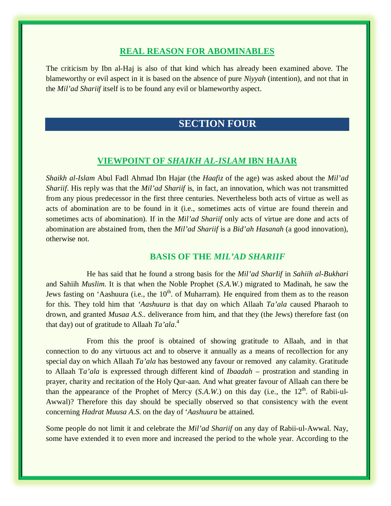#### **REAL REASON FOR ABOMINABLES**

The criticism by Ibn al-Haj is also of that kind which has already been examined above. The blameworthy or evil aspect in it is based on the absence of pure *Niyyah* (intention), and not that in the *Mil'ad Shariif* itself is to be found any evil or blameworthy aspect.

# **SECTION FOUR**

## **VIEWPOINT OF** *SHAIKH AL-ISLAM* **IBN HAJAR**

*Shaikh al-Islam* Abul Fadl Ahmad Ibn Hajar (the *Haafiz* of the age) was asked about the *Mil'ad Shariif*. His reply was that the *Mil'ad Shariif* is, in fact, an innovation, which was not transmitted from any pious predecessor in the first three centuries. Nevertheless both acts of virtue as well as acts of abomination are to be found in it (i.e., sometimes acts of virtue are found therein and sometimes acts of abomination). If in the *Mil'ad Shariif* only acts of virtue are done and acts of abomination are abstained from, then the *Mil'ad Shariif* is a *Bid'ah Hasanah* (a good innovation), otherwise not.

## **BASIS OF THE** *MIL'AD SHARIIF*

He has said that he found a strong basis for the *Mil'ad SharIif* in *Sahiih al-Bukhari* and Sahiih *Muslim*. It is that when the Noble Prophet (*S.A.W*.) migrated to Madinah, he saw the Jews fasting on 'Aashuura (i.e., the  $10<sup>th</sup>$  of Muharram). He enquired from them as to the reason for this. They told him that *'Aashuura* is that day on which Allaah *Ta'ala* caused Pharaoh to drown, and granted *Musaa A.S..* deliverance from him, and that they (the Jews) therefore fast (on that day) out of gratitude to Allaah *Ta'ala*. 4

From this the proof is obtained of showing gratitude to Allaah, and in that connection to do any virtuous act and to observe it annually as a means of recollection for any special day on which Allaah *Ta'ala* has bestowed any favour or removed any calamity. Gratitude to Allaah T*a'ala* is expressed through different kind of *Ibaadah* – prostration and standing in prayer, charity and recitation of the Holy Qur-aan. And what greater favour of Allaah can there be than the appearance of the Prophet of Mercy (*S.A.W.*) on this day (i.e., the 12<sup>th</sup>. of Rabii-ul-Awwal)? Therefore this day should be specially observed so that consistency with the event concerning *Hadrat Muusa A.S.* on the day of '*Aashuura* be attained.

Some people do not limit it and celebrate the *Mil'ad Shariif* on any day of Rabii-ul-Awwal. Nay, some have extended it to even more and increased the period to the whole year. According to the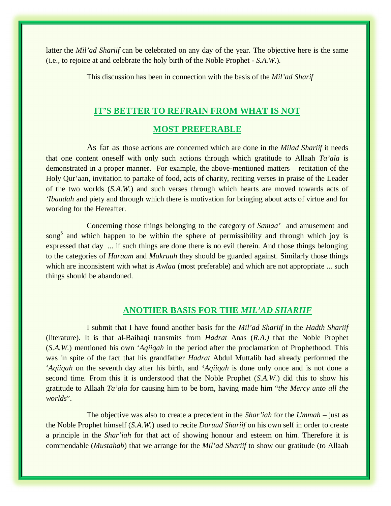latter the *Mil'ad Shariif* can be celebrated on any day of the year. The objective here is the same (i.e., to rejoice at and celebrate the holy birth of the Noble Prophet - *S.A.W.*).

This discussion has been in connection with the basis of the *Mil'ad Sharif* 

#### **IT'S BETTER TO REFRAIN FROM WHAT IS NOT**

## **MOST PREFERABLE**

As far as those actions are concerned which are done in the *Milad Shariif* it needs that one content oneself with only such actions through which gratitude to Allaah *Ta'ala* is demonstrated in a proper manner. For example, the above-mentioned matters – recitation of the Holy Qur'aan, invitation to partake of food, acts of charity, reciting verses in praise of the Leader of the two worlds (*S.A.W*.) and such verses through which hearts are moved towards acts of *'Ibaadah* and piety and through which there is motivation for bringing about acts of virtue and for working for the Hereafter.

Concerning those things belonging to the category of *Samaa'* and amusement and song<sup>5</sup> and which happen to be within the sphere of permissibility and through which joy is expressed that day ... if such things are done there is no evil therein. And those things belonging to the categories of *Haraam* and *Makruuh* they should be guarded against. Similarly those things which are inconsistent with what is *Awlaa* (most preferable) and which are not appropriate ... such things should be abandoned.

#### **ANOTHER BASIS FOR THE** *MIL'AD SHARIIF*

I submit that I have found another basis for the *Mil'ad Shariif* in the *Hadth Shariif* (literature). It is that al-Baihaqi transmits from *Hadrat* Anas (*R.A.)* that the Noble Prophet (*S.A.W.*) mentioned his own '*Aqiiqah* in the period after the proclamation of Prophethood. This was in spite of the fact that his grandfather *Hadrat* Abdul Muttalib had already performed the '*Aqiiqah* on the seventh day after his birth, and **'***Aqiiqah* is done only once and is not done a second time. From this it is understood that the Noble Prophet (*S.A.W.*) did this to show his gratitude to Allaah *Ta'ala* for causing him to be born, having made him "*the Mercy unto all the worlds*".

The objective was also to create a precedent in the *Shar'iah* for the *Ummah* – just as the Noble Prophet himself (*S.A.W.*) used to recite *Daruud Shariif* on his own self in order to create a principle in the *Shar'iah* for that act of showing honour and esteem on him. Therefore it is commendable (*Mustahab*) that we arrange for the *Mil'ad Shariif* to show our gratitude (to Allaah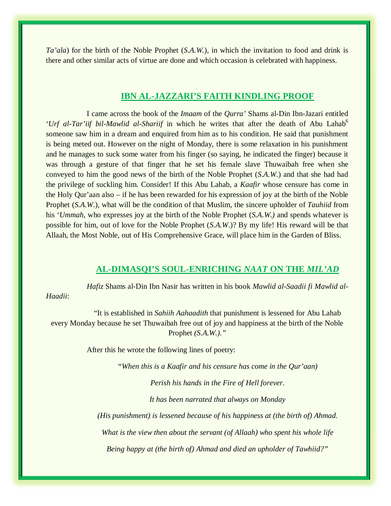*Ta'ala*) for the birth of the Noble Prophet (*S.A.W.*)*,* in which the invitation to food and drink is there and other similar acts of virtue are done and which occasion is celebrated with happiness.

#### **IBN AL-JAZZARI'S FAITH KINDLING PROOF**

I came across the book of the *Imaam* of the *Qurra'* Shams al-Din Ibn-Jazari entitled '*Urf al-Tar'iif bil-Mawlid al-Shariif* in which he writes that after the death of Abu Lahab<sup>6</sup> someone saw him in a dream and enquired from him as to his condition. He said that punishment is being meted out. However on the night of Monday, there is some relaxation in his punishment and he manages to suck some water from his finger (so saying, he indicated the finger) because it was through a gesture of that finger that he set his female slave Thuwaibah free when she conveyed to him the good news of the birth of the Noble Prophet (*S.A.W.*) and that she had had the privilege of suckling him. Consider! If this Abu Lahab, a *Kaafir* whose censure has come in the Holy Qur'aan also – if he has been rewarded for his expression of joy at the birth of the Noble Prophet (*S.A.W*.), what will be the condition of that Muslim, the sincere upholder of *Tauhiid* from his '*Ummah*, who expresses joy at the birth of the Noble Prophet (*S.A.W.)* and spends whatever is possible for him, out of love for the Noble Prophet (*S.A.W*.)? By my life! His reward will be that Allaah, the Most Noble, out of His Comprehensive Grace, will place him in the Garden of Bliss.

#### **AL-DIMASQI'S SOUL-ENRICHING** *NAAT* **ON THE** *MIL'AD*

*Hafiz* Shams al-Din Ibn Nasir has written in his book *Mawlid al-Saadii fi Mawlid al-Haadii*:

"It is established in *Sahiih Aahaadith* that punishment is lessened for Abu Lahab every Monday because he set Thuwaibah free out of joy and happiness at the birth of the Noble Prophet *(S.A.W.)."* 

After this he wrote the following lines of poetry:

*"When this is a Kaafir and his censure has come in the Qur'aan)* 

*Perish his hands in the Fire of Hell forever.* 

*It has been narrated that always on Monday* 

*(His punishment) is lessened because of his happiness at (the birth of) Ahmad.* 

*What is the view then about the servant (of Allaah) who spent his whole life* 

*Being happy at (the birth of) Ahmad and died an upholder of Tawhiid?"*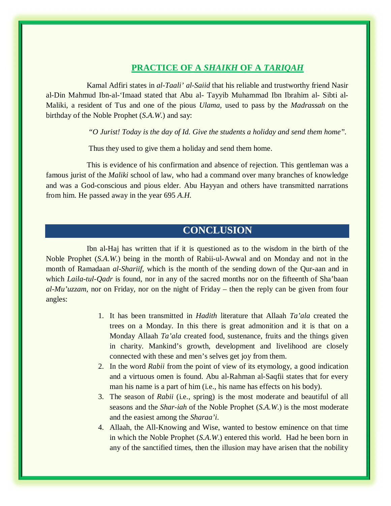## **PRACTICE OF A** *SHAIKH* **OF A** *TARIQAH*

Kamal Adfiri states in *al-Taali' al-Saiid* that his reliable and trustworthy friend Nasir al-Din Mahmud Ibn-al-'Imaad stated that Abu al- Tayyib Muhammad Ibn Ibrahim al- Sibti al-Maliki, a resident of Tus and one of the pious *Ulama*, used to pass by the *Madrassah* on the birthday of the Noble Prophet (*S.A.W.*) and say:

*"O Jurist! Today is the day of Id. Give the students a holiday and send them home".* 

Thus they used to give them a holiday and send them home.

This is evidence of his confirmation and absence of rejection. This gentleman was a famous jurist of the *Maliki* school of law, who had a command over many branches of knowledge and was a God-conscious and pious elder. Abu Hayyan and others have transmitted narrations from him. He passed away in the year 695 *A.H.*

# **CONCLUSION**

Ibn al-Haj has written that if it is questioned as to the wisdom in the birth of the Noble Prophet (*S.A.W.*) being in the month of Rabii-ul-Awwal and on Monday and not in the month of Ramadaan *al-Shariif*, which is the month of the sending down of the Qur-aan and in which *Laila-tul-Qadr* is found, nor in any of the sacred months nor on the fifteenth of Sha'baan *al-Mu'uzzam*, nor on Friday, nor on the night of Friday – then the reply can be given from four angles:

- 1. It has been transmitted in *Hadith* literature that Allaah *Ta'ala* created the trees on a Monday. In this there is great admonition and it is that on a Monday Allaah *Ta'ala* created food, sustenance, fruits and the things given in charity. Mankind's growth, development and livelihood are closely connected with these and men's selves get joy from them.
- 2. In the word *Rabii* from the point of view of its etymology, a good indication and a virtuous omen is found. Abu al-Rahman al-Saqfii states that for every man his name is a part of him (i.e., his name has effects on his body).
- 3. The season of *Rabii* (i.e., spring) is the most moderate and beautiful of all seasons and the *Shar-iah* of the Noble Prophet (*S.A.W*.) is the most moderate and the easiest among the *Sharaa'i*.
- 4. Allaah, the All-Knowing and Wise, wanted to bestow eminence on that time in which the Noble Prophet (*S.A.W*.) entered this world. Had he been born in any of the sanctified times, then the illusion may have arisen that the nobility